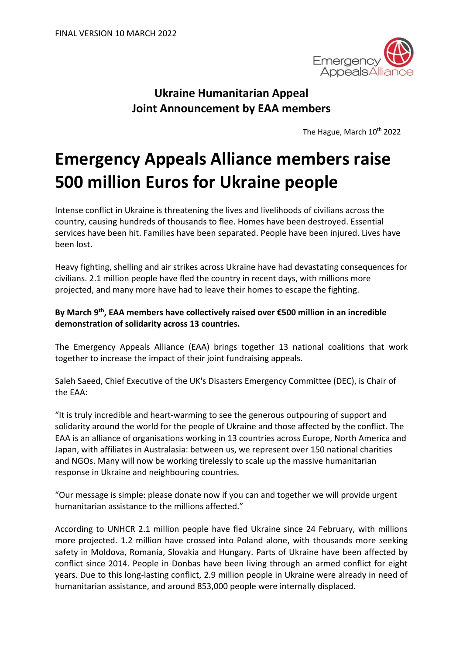

## **Ukraine Humanitarian Appeal Joint Announcement by EAA members**

The Hague, March 10<sup>th</sup> 2022

# **Emergency Appeals Alliance members raise 500 million Euros for Ukraine people**

Intense conflict in Ukraine is threatening the lives and livelihoods of civilians across the country, causing hundreds of thousands to flee. Homes have been destroyed. Essential services have been hit. Families have been separated. People have been injured. Lives have been lost.

Heavy fighting, shelling and air strikes across Ukraine have had devastating consequences for civilians. 2.1 million people have fled the country in recent days, with millions more projected, and many more have had to leave their homes to escape the fighting.

### **By March 9<sup>th</sup>, EAA members have collectively raised over €500 million in an incredible demonstration of solidarity across 13 countries.**

The Emergency Appeals Alliance (EAA) brings together 13 national coalitions that work together to increase the impact of their joint fundraising appeals.

Saleh Saeed, Chief Executive of the UK's Disasters Emergency Committee (DEC), is Chair of the EAA:

"It is truly incredible and heart-warming to see the generous outpouring of support and solidarity around the world for the people of Ukraine and those affected by the conflict. The EAA is an alliance of organisations working in 13 countries across Europe, North America and Japan, with affiliates in Australasia: between us, we represent over 150 national charities and NGOs. Many will now be working tirelessly to scale up the massive humanitarian response in Ukraine and neighbouring countries.

"Our message is simple: please donate now if you can and together we will provide urgent humanitarian assistance to the millions affected."

According to UNHCR 2.1 million people have fled Ukraine since 24 February, with millions more projected. 1.2 million have crossed into Poland alone, with thousands more seeking safety in Moldova, Romania, Slovakia and Hungary. Parts of Ukraine have been affected by conflict since 2014. People in Donbas have been living through an armed conflict for eight years. Due to this long-lasting conflict, 2.9 million people in Ukraine were already in need of humanitarian assistance, and around 853,000 people were internally displaced.